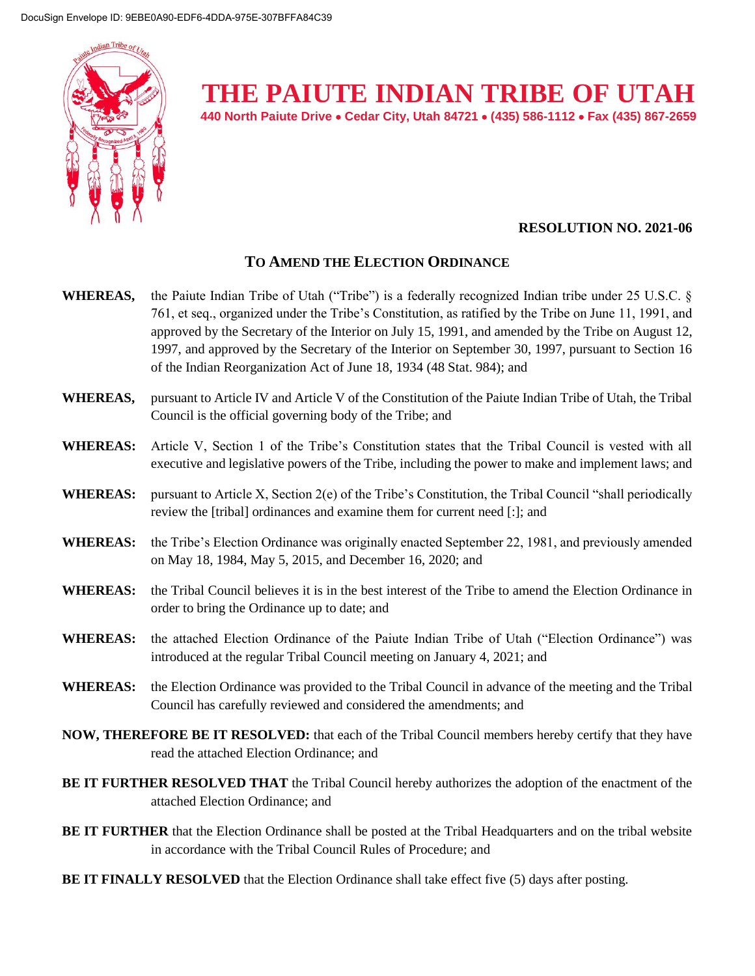

## **THE PAIUTE INDIAN TRIBE OF UTAH**

**440 North Paiute Drive Cedar City, Utah 84721 (435) 586-1112 Fax (435) 867-2659** 

## **RESOLUTION NO. 2021-06**

## **TO AMEND THE ELECTION ORDINANCE**

- **WHEREAS,** the Paiute Indian Tribe of Utah ("Tribe") is a federally recognized Indian tribe under 25 U.S.C. § 761, et seq., organized under the Tribe's Constitution, as ratified by the Tribe on June 11, 1991, and approved by the Secretary of the Interior on July 15, 1991, and amended by the Tribe on August 12, 1997, and approved by the Secretary of the Interior on September 30, 1997, pursuant to Section 16 of the Indian Reorganization Act of June 18, 1934 (48 Stat. 984); and
- **WHEREAS,** pursuant to Article IV and Article V of the Constitution of the Paiute Indian Tribe of Utah, the Tribal Council is the official governing body of the Tribe; and
- **WHEREAS:** Article V, Section 1 of the Tribe's Constitution states that the Tribal Council is vested with all executive and legislative powers of the Tribe, including the power to make and implement laws; and
- **WHEREAS:** pursuant to Article X, Section 2(e) of the Tribe's Constitution, the Tribal Council "shall periodically review the [tribal] ordinances and examine them for current need [:]; and
- **WHEREAS:** the Tribe's Election Ordinance was originally enacted September 22, 1981, and previously amended on May 18, 1984, May 5, 2015, and December 16, 2020; and
- **WHEREAS:** the Tribal Council believes it is in the best interest of the Tribe to amend the Election Ordinance in order to bring the Ordinance up to date; and
- **WHEREAS:** the attached Election Ordinance of the Paiute Indian Tribe of Utah ("Election Ordinance") was introduced at the regular Tribal Council meeting on January 4, 2021; and
- **WHEREAS:** the Election Ordinance was provided to the Tribal Council in advance of the meeting and the Tribal Council has carefully reviewed and considered the amendments; and
- **NOW, THEREFORE BE IT RESOLVED:** that each of the Tribal Council members hereby certify that they have read the attached Election Ordinance; and
- **BE IT FURTHER RESOLVED THAT** the Tribal Council hereby authorizes the adoption of the enactment of the attached Election Ordinance; and
- **BE IT FURTHER** that the Election Ordinance shall be posted at the Tribal Headquarters and on the tribal website in accordance with the Tribal Council Rules of Procedure; and
- **BE IT FINALLY RESOLVED** that the Election Ordinance shall take effect five (5) days after posting.